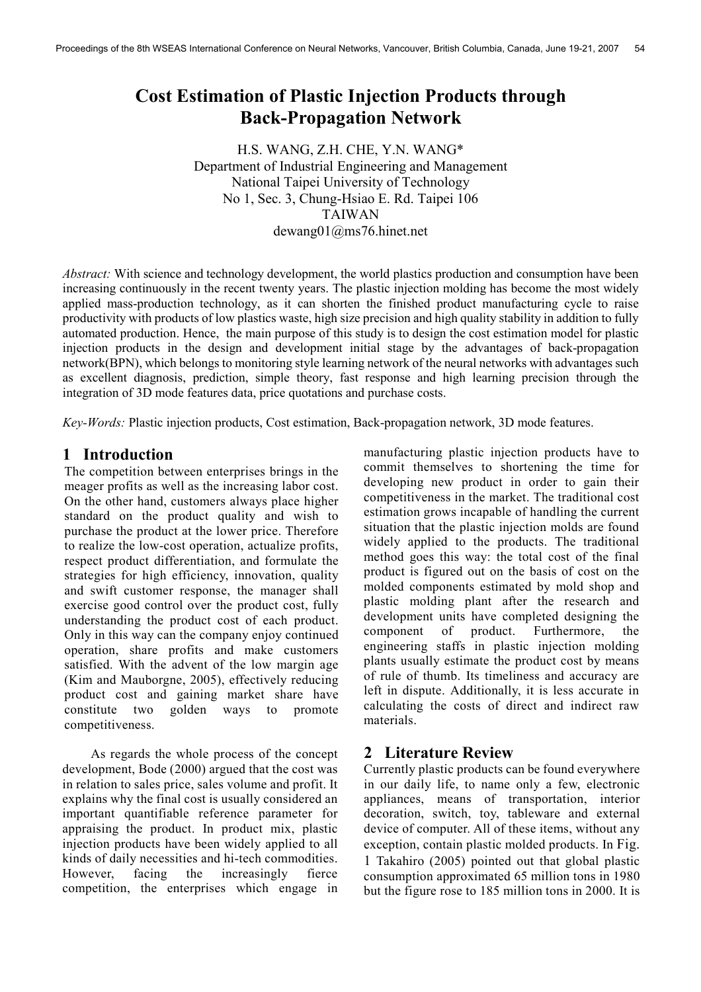# Cost Estimation of Plastic Injection Products through Back-Propagation Network

H.S. WANG, Z.H. CHE, Y.N. WANG\* Department of Industrial Engineering and Management National Taipei University of Technology No 1, Sec. 3, Chung-Hsiao E. Rd. Taipei 106 **TAIWAN** dewang01@ms76.hinet.net

Abstract: With science and technology development, the world plastics production and consumption have been increasing continuously in the recent twenty years. The plastic injection molding has become the most widely applied mass-production technology, as it can shorten the finished product manufacturing cycle to raise productivity with products of low plastics waste, high size precision and high quality stability in addition to fully automated production. Hence, the main purpose of this study is to design the cost estimation model for plastic injection products in the design and development initial stage by the advantages of back-propagation network(BPN), which belongs to monitoring style learning network of the neural networks with advantages such as excellent diagnosis, prediction, simple theory, fast response and high learning precision through the integration of 3D mode features data, price quotations and purchase costs.

Key-Words: Plastic injection products, Cost estimation, Back-propagation network, 3D mode features.

### 1 Introduction

The competition between enterprises brings in the meager profits as well as the increasing labor cost. On the other hand, customers always place higher standard on the product quality and wish to purchase the product at the lower price. Therefore to realize the low-cost operation, actualize profits, respect product differentiation, and formulate the strategies for high efficiency, innovation, quality and swift customer response, the manager shall exercise good control over the product cost, fully understanding the product cost of each product. Only in this way can the company enjoy continued operation, share profits and make customers satisfied. With the advent of the low margin age (Kim and Mauborgne, 2005), effectively reducing product cost and gaining market share have constitute two golden ways to promote competitiveness.

As regards the whole process of the concept development, Bode (2000) argued that the cost was in relation to sales price, sales volume and profit. It explains why the final cost is usually considered an important quantifiable reference parameter for appraising the product. In product mix, plastic injection products have been widely applied to all kinds of daily necessities and hi-tech commodities. However, facing the increasingly fierce competition, the enterprises which engage in

manufacturing plastic injection products have to commit themselves to shortening the time for developing new product in order to gain their competitiveness in the market. The traditional cost estimation grows incapable of handling the current situation that the plastic injection molds are found widely applied to the products. The traditional method goes this way: the total cost of the final product is figured out on the basis of cost on the molded components estimated by mold shop and plastic molding plant after the research and development units have completed designing the component of product. Furthermore, the engineering staffs in plastic injection molding plants usually estimate the product cost by means of rule of thumb. Its timeliness and accuracy are left in dispute. Additionally, it is less accurate in calculating the costs of direct and indirect raw materials.

## 2 Literature Review

Currently plastic products can be found everywhere in our daily life, to name only a few, electronic appliances, means of transportation, interior decoration, switch, toy, tableware and external device of computer. All of these items, without any exception, contain plastic molded products. In Fig. 1 Takahiro (2005) pointed out that global plastic consumption approximated 65 million tons in 1980 but the figure rose to 185 million tons in 2000. It is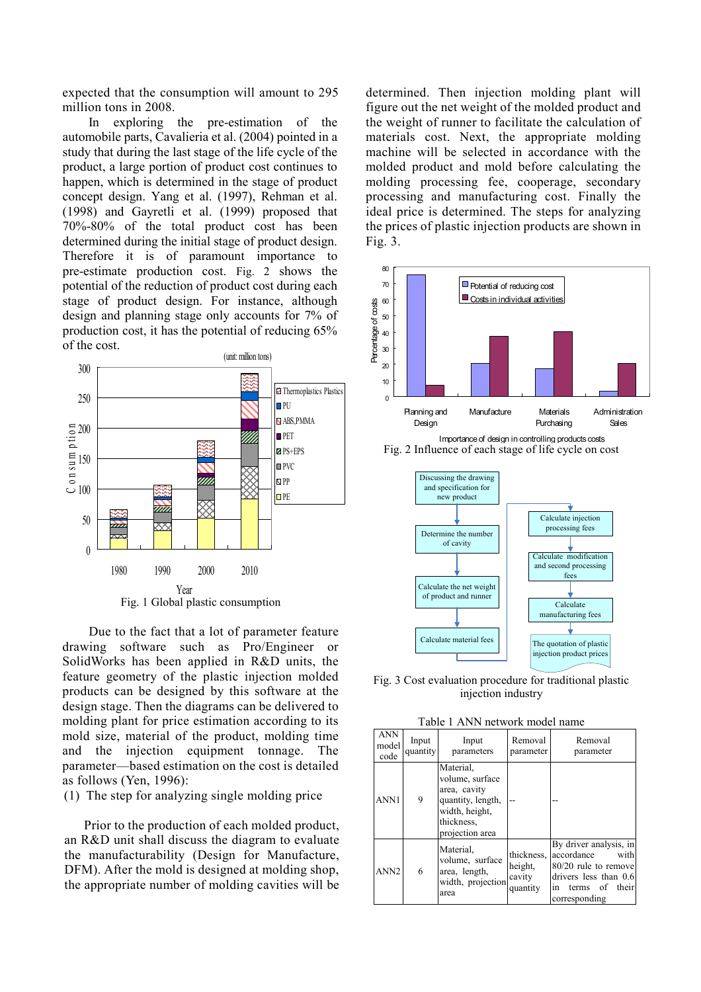expected that the consumption will amount to 295 million tons in 2008.

In exploring the pre-estimation of the automobile parts, Cavalieria et al. (2004) pointed in a study that during the last stage of the life cycle of the product, a large portion of product cost continues to happen, which is determined in the stage of product concept design. Yang et al. (1997), Rehman et al. (1998) and Gayretli et al. (1999) proposed that 70%-80% of the total product cost has been determined during the initial stage of product design. Therefore it is of paramount importance to pre-estimate production cost. Fig. 2 shows the potential of the reduction of product cost during each stage of product design. For instance, although design and planning stage only accounts for 7% of production cost, it has the potential of reducing 65% of the cost.



Due to the fact that a lot of parameter feature drawing software such as Pro/Engineer or SolidWorks has been applied in R&D units, the feature geometry of the plastic injection molded products can be designed by this software at the design stage. Then the diagrams can be delivered to molding plant for price estimation according to its mold size, material of the product, molding time and the injection equipment tonnage. The parameter—based estimation on the cost is detailed as follows (Yen, 1996):

(1) The step for analyzing single molding price

Prior to the production of each molded product, an R&D unit shall discuss the diagram to evaluate the manufacturability (Design for Manufacture, DFM). After the mold is designed at molding shop, the appropriate number of molding cavities will be determined. Then injection molding plant will figure out the net weight of the molded product and the weight of runner to facilitate the calculation of materials cost. Next, the appropriate molding machine will be selected in accordance with the molded product and mold before calculating the molding processing fee, cooperage, secondary processing and manufacturing cost. Finally the ideal price is determined. The steps for analyzing the prices of plastic injection products are shown in Fig. 3.







Fig. 3 Cost evaluation procedure for traditional plastic injection industry

Table 1 ANN network model name

| <b>ANN</b><br>model<br>code | Input<br>quantity | Input<br>parameters                                                                                                  | Removal<br>parameter                        | Removal<br>parameter                                                                                                                   |  |
|-----------------------------|-------------------|----------------------------------------------------------------------------------------------------------------------|---------------------------------------------|----------------------------------------------------------------------------------------------------------------------------------------|--|
| ANN1                        | 9                 | Material.<br>volume, surface<br>area, cavity<br>quantity, length,<br>width, height,<br>thickness,<br>projection area |                                             | By driver analysis, in<br>accordance<br>with<br>80/20 rule to remove<br>drivers less than 0.6<br>terms of their<br>in<br>corresponding |  |
| ANN <sub>2</sub>            | 6                 | Material,<br>volume, surface<br>area, length,<br>width, projection<br>area                                           | thickness.<br>height,<br>cavity<br>quantity |                                                                                                                                        |  |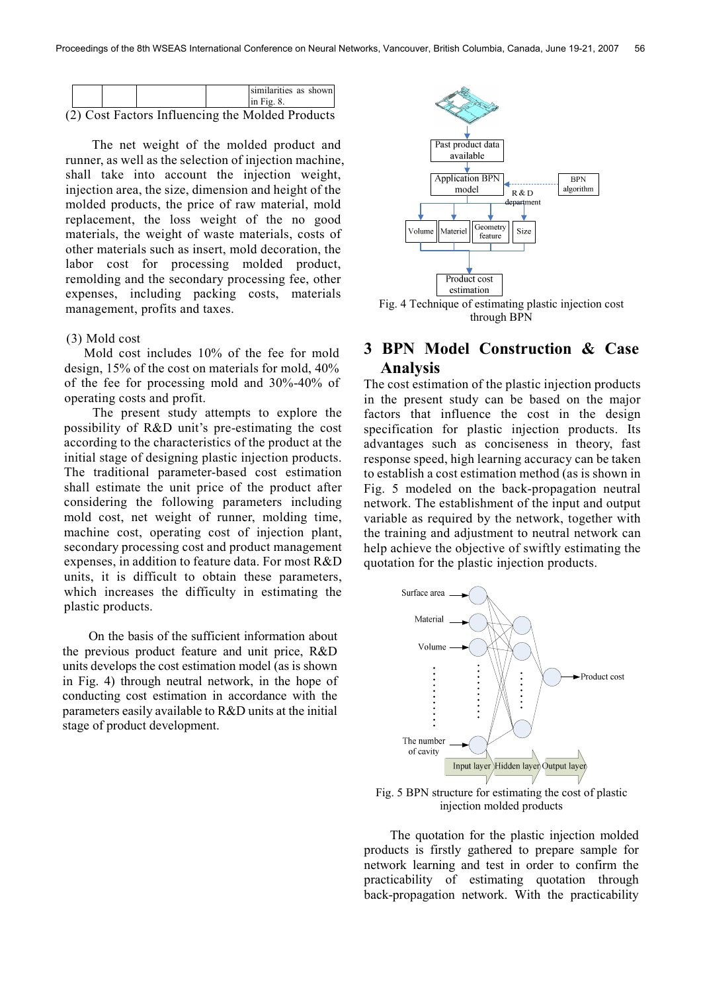|  |                                                  | similarities as shown<br>$\sin$ Fig. 8. |  |
|--|--------------------------------------------------|-----------------------------------------|--|
|  | (2) Cost Factors Influencing the Molded Products |                                         |  |

The net weight of the molded product and runner, as well as the selection of injection machine, shall take into account the injection weight, injection area, the size, dimension and height of the molded products, the price of raw material, mold replacement, the loss weight of the no good materials, the weight of waste materials, costs of other materials such as insert, mold decoration, the labor cost for processing molded product, remolding and the secondary processing fee, other expenses, including packing costs, materials management, profits and taxes.

#### (3) Mold cost

Mold cost includes 10% of the fee for mold design, 15% of the cost on materials for mold, 40% of the fee for processing mold and 30%-40% of operating costs and profit.

The present study attempts to explore the possibility of R&D unit's pre-estimating the cost according to the characteristics of the product at the initial stage of designing plastic injection products. The traditional parameter-based cost estimation shall estimate the unit price of the product after considering the following parameters including mold cost, net weight of runner, molding time, machine cost, operating cost of injection plant, secondary processing cost and product management expenses, in addition to feature data. For most R&D units, it is difficult to obtain these parameters, which increases the difficulty in estimating the plastic products.

On the basis of the sufficient information about the previous product feature and unit price, R&D units develops the cost estimation model (as is shown in Fig. 4) through neutral network, in the hope of conducting cost estimation in accordance with the parameters easily available to R&D units at the initial stage of product development.



# 3 BPN Model Construction & Case Analysis

The cost estimation of the plastic injection products in the present study can be based on the major factors that influence the cost in the design specification for plastic injection products. Its advantages such as conciseness in theory, fast response speed, high learning accuracy can be taken to establish a cost estimation method (as is shown in Fig. 5 modeled on the back-propagation neutral network. The establishment of the input and output variable as required by the network, together with the training and adjustment to neutral network can help achieve the objective of swiftly estimating the quotation for the plastic injection products.



Fig. 5 BPN structure for estimating the cost of plastic injection molded products

The quotation for the plastic injection molded products is firstly gathered to prepare sample for network learning and test in order to confirm the practicability of estimating quotation through back-propagation network. With the practicability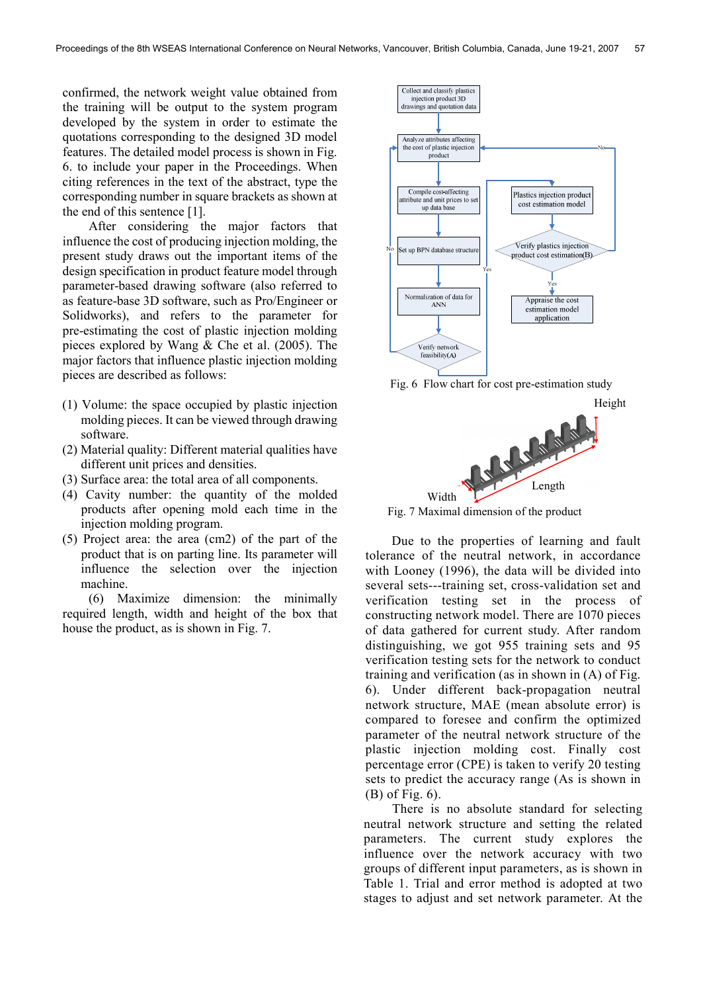confirmed, the network weight value obtained from the training will be output to the system program developed by the system in order to estimate the quotations corresponding to the designed 3D model features. The detailed model process is shown in Fig. 6. to include your paper in the Proceedings. When citing references in the text of the abstract, type the corresponding number in square brackets as shown at the end of this sentence [1].

After considering the major factors that influence the cost of producing injection molding, the present study draws out the important items of the design specification in product feature model through parameter-based drawing software (also referred to as feature-base 3D software, such as Pro/Engineer or Solidworks), and refers to the parameter for pre-estimating the cost of plastic injection molding pieces explored by Wang & Che et al. (2005). The major factors that influence plastic injection molding pieces are described as follows:

- (1) Volume: the space occupied by plastic injection molding pieces. It can be viewed through drawing software.
- (2) Material quality: Different material qualities have different unit prices and densities.
- (3) Surface area: the total area of all components.
- (4) Cavity number: the quantity of the molded products after opening mold each time in the injection molding program.
- (5) Project area: the area (cm2) of the part of the product that is on parting line. Its parameter will influence the selection over the injection machine.

(6) Maximize dimension: the minimally required length, width and height of the box that house the product, as is shown in Fig. 7.



Fig. 6 Flow chart for cost pre-estimation study



Fig. 7 Maximal dimension of the product

Due to the properties of learning and fault tolerance of the neutral network, in accordance with Looney (1996), the data will be divided into several sets---training set, cross-validation set and verification testing set in the process of constructing network model. There are 1070 pieces of data gathered for current study. After random distinguishing, we got 955 training sets and 95 verification testing sets for the network to conduct training and verification (as in shown in (A) of Fig. 6). Under different back-propagation neutral network structure, MAE (mean absolute error) is compared to foresee and confirm the optimized parameter of the neutral network structure of the plastic injection molding cost. Finally cost percentage error (CPE) is taken to verify 20 testing sets to predict the accuracy range (As is shown in (B) of Fig. 6).

There is no absolute standard for selecting neutral network structure and setting the related parameters. The current study explores the influence over the network accuracy with two groups of different input parameters, as is shown in Table 1. Trial and error method is adopted at two stages to adjust and set network parameter. At the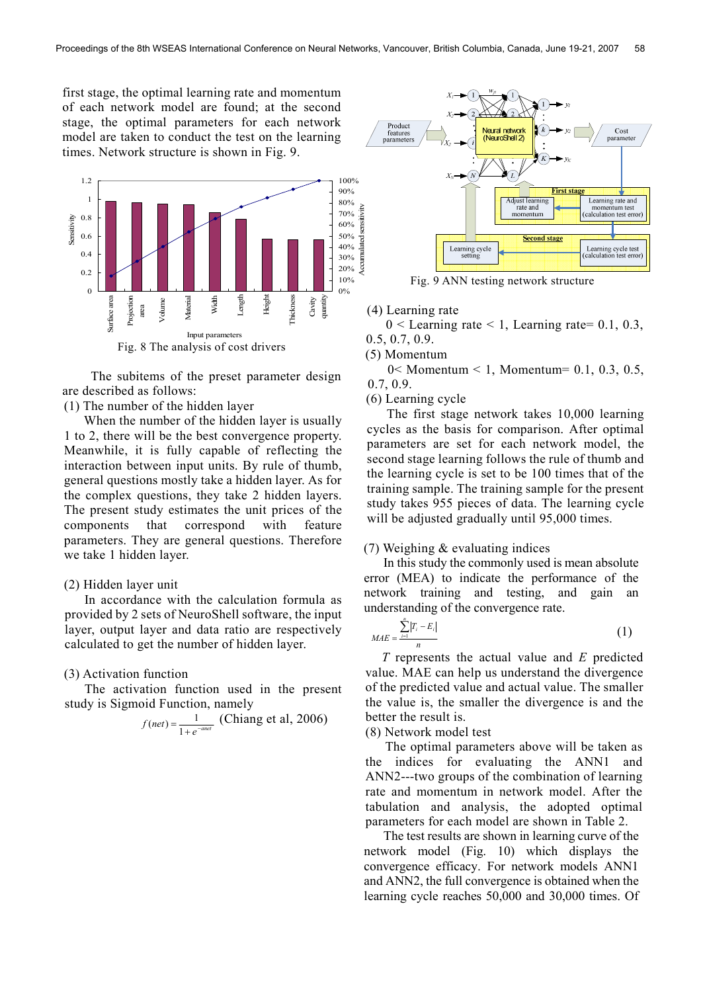first stage, the optimal learning rate and momentum of each network model are found; at the second stage, the optimal parameters for each network model are taken to conduct the test on the learning times. Network structure is shown in Fig. 9.



The subitems of the preset parameter design are described as follows:

(1) The number of the hidden layer

When the number of the hidden layer is usually 1 to 2, there will be the best convergence property. Meanwhile, it is fully capable of reflecting the interaction between input units. By rule of thumb, general questions mostly take a hidden layer. As for the complex questions, they take 2 hidden layers. The present study estimates the unit prices of the components that correspond with feature parameters. They are general questions. Therefore we take 1 hidden layer.

### (2) Hidden layer unit

In accordance with the calculation formula as provided by 2 sets of NeuroShell software, the input layer, output layer and data ratio are respectively calculated to get the number of hidden layer.

### (3) Activation function

The activation function used in the present study is Sigmoid Function, namely

$$
f(net) = \frac{1}{1 + e^{-anet}} \text{ (Chiang et al, 2006)}
$$



Fig. 9 ANN testing network structure

(4) Learning rate

 $0 <$  Learning rate  $<$  1, Learning rate  $= 0.1, 0.3,$ 0.5, 0.7, 0.9.

(5) Momentum

0< Momentum < 1, Momentum= 0.1, 0.3, 0.5, 0.7, 0.9.

(6) Learning cycle

The first stage network takes 10,000 learning cycles as the basis for comparison. After optimal parameters are set for each network model, the second stage learning follows the rule of thumb and the learning cycle is set to be 100 times that of the training sample. The training sample for the present study takes 955 pieces of data. The learning cycle will be adjusted gradually until 95,000 times.

### (7) Weighing & evaluating indices

In this study the commonly used is mean absolute error (MEA) to indicate the performance of the network training and testing, and gain an understanding of the convergence rate.

$$
MAE = \frac{\sum_{i=1}^{n} |T_i - E_i|}{n}
$$
 (1)

 T represents the actual value and E predicted value. MAE can help us understand the divergence of the predicted value and actual value. The smaller the value is, the smaller the divergence is and the better the result is.

(8) Network model test

The optimal parameters above will be taken as the indices for evaluating the ANN1 and ANN2---two groups of the combination of learning rate and momentum in network model. After the tabulation and analysis, the adopted optimal parameters for each model are shown in Table 2.

The test results are shown in learning curve of the network model (Fig. 10) which displays the convergence efficacy. For network models ANN1 and ANN2, the full convergence is obtained when the learning cycle reaches 50,000 and 30,000 times. Of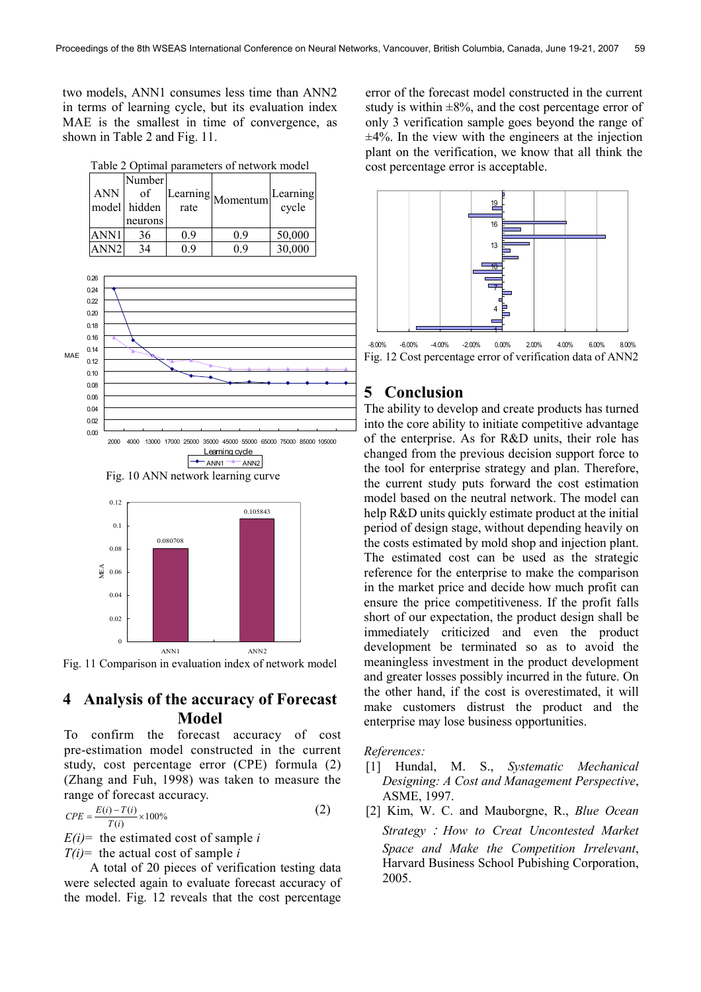two models, ANN1 consumes less time than ANN2 in terms of learning cycle, but its evaluation index MAE is the smallest in time of convergence, as shown in Table 2 and Fig. 11.

Table 2 Optimal parameters of network model ANN model Number of hidden neurons Learning earning<br>rate Momentum cycle cycle ANN1 36 0.9 0.9 50,000 ANN2 34 0.9 0.9 30,000



 $\rightarrow$  ANN1  $\rightarrow$  ANN2







## 4 Analysis of the accuracy of Forecast Model

To confirm the forecast accuracy of cost pre-estimation model constructed in the current study, cost percentage error (CPE) formula (2) (Zhang and Fuh, 1998) was taken to measure the range of forecast accuracy.

$$
CPE = \frac{E(i) - T(i)}{T(i)} \times 100\%
$$
 (2)

 $E(i)$ = the estimated cost of sample *i* 

 $T(i)$  the actual cost of sample i

A total of 20 pieces of verification testing data were selected again to evaluate forecast accuracy of the model. Fig. 12 reveals that the cost percentage error of the forecast model constructed in the current study is within  $\pm 8\%$ , and the cost percentage error of only 3 verification sample goes beyond the range of  $\pm 4\%$ . In the view with the engineers at the injection plant on the verification, we know that all think the cost percentage error is acceptable.



-8.00% -6.00% -4.00% -2.00% 0.00% 2.00% 4.00% 6.00% 8.00% Fig. 12 Cost percentage error of verification data of ANN2

# 5 Conclusion

The ability to develop and create products has turned into the core ability to initiate competitive advantage of the enterprise. As for R&D units, their role has changed from the previous decision support force to the tool for enterprise strategy and plan. Therefore, the current study puts forward the cost estimation model based on the neutral network. The model can help R&D units quickly estimate product at the initial period of design stage, without depending heavily on the costs estimated by mold shop and injection plant. The estimated cost can be used as the strategic reference for the enterprise to make the comparison in the market price and decide how much profit can ensure the price competitiveness. If the profit falls short of our expectation, the product design shall be immediately criticized and even the product development be terminated so as to avoid the meaningless investment in the product development and greater losses possibly incurred in the future. On the other hand, if the cost is overestimated, it will make customers distrust the product and the enterprise may lose business opportunities.

References:

- [1] Hundal, M. S., Systematic Mechanical Designing: A Cost and Management Perspective, ASME, 1997.
- [2] Kim, W. C. and Mauborgne, R., Blue Ocean Strategy: How to Creat Uncontested Market Space and Make the Competition Irrelevant, Harvard Business School Pubishing Corporation, 2005.